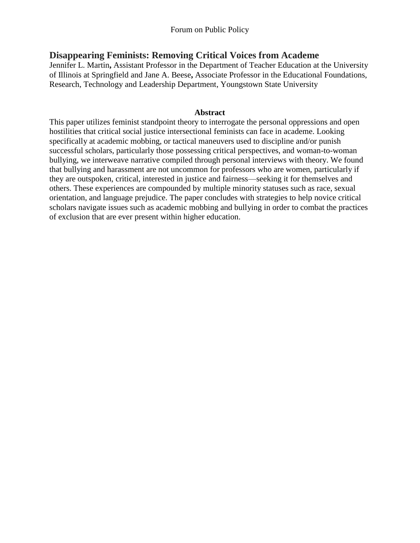# **Disappearing Feminists: Removing Critical Voices from Academe**

Jennifer L. Martin**,** Assistant Professor in the Department of Teacher Education at the University of Illinois at Springfield and Jane A. Beese**,** Associate Professor in the Educational Foundations, Research, Technology and Leadership Department, Youngstown State University

#### **Abstract**

This paper utilizes feminist standpoint theory to interrogate the personal oppressions and open hostilities that critical social justice intersectional feminists can face in academe. Looking specifically at academic mobbing, or tactical maneuvers used to discipline and/or punish successful scholars, particularly those possessing critical perspectives, and woman-to-woman bullying, we interweave narrative compiled through personal interviews with theory. We found that bullying and harassment are not uncommon for professors who are women, particularly if they are outspoken, critical, interested in justice and fairness—seeking it for themselves and others. These experiences are compounded by multiple minority statuses such as race, sexual orientation, and language prejudice. The paper concludes with strategies to help novice critical scholars navigate issues such as academic mobbing and bullying in order to combat the practices of exclusion that are ever present within higher education.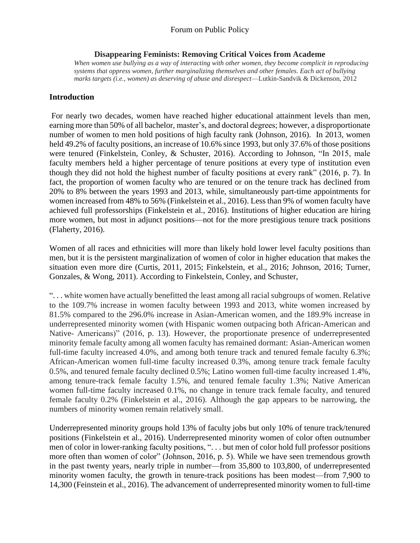#### **Disappearing Feminists: Removing Critical Voices from Academe**

*When women use bullying as a way of interacting with other women, they become complicit in reproducing systems that oppress women, further marginalizing themselves and other females. Each act of bullying marks targets (i.e., women) as deserving of abuse and disrespect*—Lutkin-Sandvik & Dickenson, 2012

#### **Introduction**

For nearly two decades, women have reached higher educational attainment levels than men, earning more than 50% of all bachelor, master's, and doctoral degrees; however, a disproportionate number of women to men hold positions of high faculty rank (Johnson, 2016). In 2013, women held 49.2% of faculty positions, an increase of 10.6% since 1993, but only 37.6% of those positions were tenured (Finkelstein, Conley, & Schuster, 2016). According to Johnson, "In 2015, male faculty members held a higher percentage of tenure positions at every type of institution even though they did not hold the highest number of faculty positions at every rank" (2016, p. 7). In fact, the proportion of women faculty who are tenured or on the tenure track has declined from 20% to 8% between the years 1993 and 2013, while, simultaneously part-time appointments for women increased from 48% to 56% (Finkelstein et al., 2016). Less than 9% of women faculty have achieved full professorships (Finkelstein et al., 2016). Institutions of higher education are hiring more women, but most in adjunct positions—not for the more prestigious tenure track positions (Flaherty, 2016).

Women of all races and ethnicities will more than likely hold lower level faculty positions than men, but it is the persistent marginalization of women of color in higher education that makes the situation even more dire (Curtis, 2011, 2015; Finkelstein, et al., 2016; Johnson, 2016; Turner, Gonzales, & Wong, 2011). According to Finkelstein, Conley, and Schuster,

". . . white women have actually benefitted the least among all racial subgroups of women. Relative to the 109.7% increase in women faculty between 1993 and 2013, white women increased by 81.5% compared to the 296.0% increase in Asian-American women, and the 189.9% increase in underrepresented minority women (with Hispanic women outpacing both African-American and Native- Americans)" (2016, p. 13). However, the proportionate presence of underrepresented minority female faculty among all women faculty has remained dormant: Asian-American women full-time faculty increased 4.0%, and among both tenure track and tenured female faculty 6.3%; African-American women full-time faculty increased 0.3%, among tenure track female faculty 0.5%, and tenured female faculty declined 0.5%; Latino women full-time faculty increased 1.4%, among tenure-track female faculty 1.5%, and tenured female faculty 1.3%; Native American women full-time faculty increased 0.1%, no change in tenure track female faculty, and tenured female faculty 0.2% (Finkelstein et al., 2016). Although the gap appears to be narrowing, the numbers of minority women remain relatively small.

Underrepresented minority groups hold 13% of faculty jobs but only 10% of tenure track/tenured positions (Finkelstein et al., 2016). Underrepresented minority women of color often outnumber men of color in lower-ranking faculty positions, ". . . but men of color hold full professor positions more often than women of color" (Johnson, 2016, p. 5). While we have seen tremendous growth in the past twenty years, nearly triple in number—from 35,800 to 103,800, of underrepresented minority women faculty, the growth in tenure-track positions has been modest—from 7,900 to 14,300 (Feinstein et al., 2016). The advancement of underrepresented minority women to full-time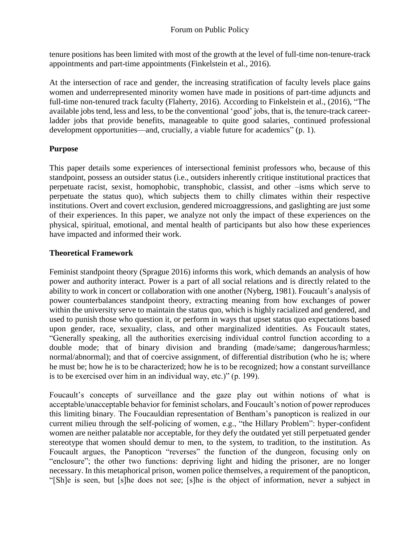tenure positions has been limited with most of the growth at the level of full-time non-tenure-track appointments and part-time appointments (Finkelstein et al., 2016).

At the intersection of race and gender, the increasing stratification of faculty levels place gains women and underrepresented minority women have made in positions of part-time adjuncts and full-time non-tenured track faculty (Flaherty, 2016). According to Finkelstein et al., (2016), "The available jobs tend, less and less, to be the conventional 'good' jobs, that is, the tenure-track careerladder jobs that provide benefits, manageable to quite good salaries, continued professional development opportunities—and, crucially, a viable future for academics" (p. 1).

# **Purpose**

This paper details some experiences of intersectional feminist professors who, because of this standpoint, possess an outsider status (i.e., outsiders inherently critique institutional practices that perpetuate racist, sexist, homophobic, transphobic, classist, and other –isms which serve to perpetuate the status quo), which subjects them to chilly climates within their respective institutions. Overt and covert exclusion, gendered microaggressions, and gaslighting are just some of their experiences. In this paper, we analyze not only the impact of these experiences on the physical, spiritual, emotional, and mental health of participants but also how these experiences have impacted and informed their work.

### **Theoretical Framework**

Feminist standpoint theory (Sprague 2016) informs this work, which demands an analysis of how power and authority interact. Power is a part of all social relations and is directly related to the ability to work in concert or collaboration with one another (Nyberg, 1981). Foucault's analysis of power counterbalances standpoint theory, extracting meaning from how exchanges of power within the university serve to maintain the status quo, which is highly racialized and gendered, and used to punish those who question it, or perform in ways that upset status quo expectations based upon gender, race, sexuality, class, and other marginalized identities. As Foucault states, "Generally speaking, all the authorities exercising individual control function according to a double mode; that of binary division and branding (made/same; dangerous/harmless; normal/abnormal); and that of coercive assignment, of differential distribution (who he is; where he must be; how he is to be characterized; how he is to be recognized; how a constant surveillance is to be exercised over him in an individual way, etc.)" (p. 199).

Foucault's concepts of surveillance and the gaze play out within notions of what is acceptable/unacceptable behavior for feminist scholars, and Foucault's notion of power reproduces this limiting binary. The Foucauldian representation of Bentham's panopticon is realized in our current milieu through the self-policing of women, e.g., "the Hillary Problem": hyper-confident women are neither palatable nor acceptable, for they defy the outdated yet still perpetuated gender stereotype that women should demur to men, to the system, to tradition, to the institution. As Foucault argues, the Panopticon "reverses" the function of the dungeon, focusing only on "enclosure"; the other two functions: depriving light and hiding the prisoner, are no longer necessary. In this metaphorical prison, women police themselves, a requirement of the panopticon, "[Sh]e is seen, but [s]he does not see; [s]he is the object of information, never a subject in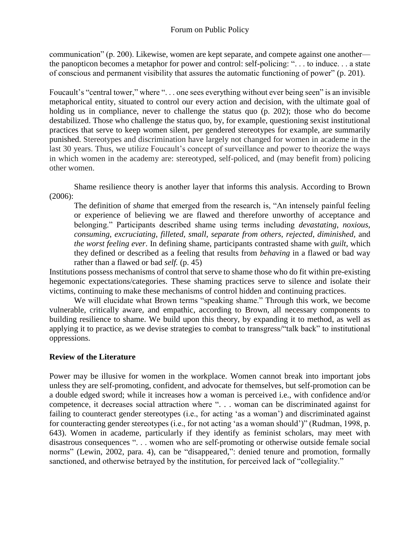communication" (p. 200). Likewise, women are kept separate, and compete against one another the panopticon becomes a metaphor for power and control: self-policing: ". . . to induce. . . a state of conscious and permanent visibility that assures the automatic functioning of power" (p. 201).

Foucault's "central tower," where "... one sees everything without ever being seen" is an invisible metaphorical entity, situated to control our every action and decision, with the ultimate goal of holding us in compliance, never to challenge the status quo (p. 202); those who do become destabilized. Those who challenge the status quo, by, for example, questioning sexist institutional practices that serve to keep women silent, per gendered stereotypes for example, are summarily punished. Stereotypes and discrimination have largely not changed for women in academe in the last 30 years. Thus, we utilize Foucault's concept of surveillance and power to theorize the ways in which women in the academy are: stereotyped, self-policed, and (may benefit from) policing other women.

Shame resilience theory is another layer that informs this analysis. According to Brown (2006):

The definition of *shame* that emerged from the research is, "An intensely painful feeling or experience of believing we are flawed and therefore unworthy of acceptance and belonging." Participants described shame using terms including *devastating*, *noxious*, *consuming*, *excruciating*, *filleted*, *small*, *separate from others*, *rejected*, *diminished,* and *the worst feeling ever*. In defining shame, participants contrasted shame with *guilt*, which they defined or described as a feeling that results from *behaving* in a flawed or bad way rather than a flawed or bad *self.* (p. 45)

Institutions possess mechanisms of control that serve to shame those who do fit within pre-existing hegemonic expectations/categories. These shaming practices serve to silence and isolate their victims, continuing to make these mechanisms of control hidden and continuing practices.

We will elucidate what Brown terms "speaking shame." Through this work, we become vulnerable, critically aware, and empathic, according to Brown, all necessary components to building resilience to shame. We build upon this theory, by expanding it to method, as well as applying it to practice, as we devise strategies to combat to transgress/"talk back" to institutional oppressions.

#### **Review of the Literature**

Power may be illusive for women in the workplace. Women cannot break into important jobs unless they are self-promoting, confident, and advocate for themselves, but self-promotion can be a double edged sword; while it increases how a woman is perceived i.e., with confidence and/or competence, it decreases social attraction where ". . . woman can be discriminated against for failing to counteract gender stereotypes (i.e., for acting 'as a woman') and discriminated against for counteracting gender stereotypes (i.e., for not acting 'as a woman should')" (Rudman, 1998, p. 643). Women in academe, particularly if they identify as feminist scholars, may meet with disastrous consequences ". . . women who are self-promoting or otherwise outside female social norms" (Lewin, 2002, para. 4), can be "disappeared,": denied tenure and promotion, formally sanctioned, and otherwise betrayed by the institution, for perceived lack of "collegiality."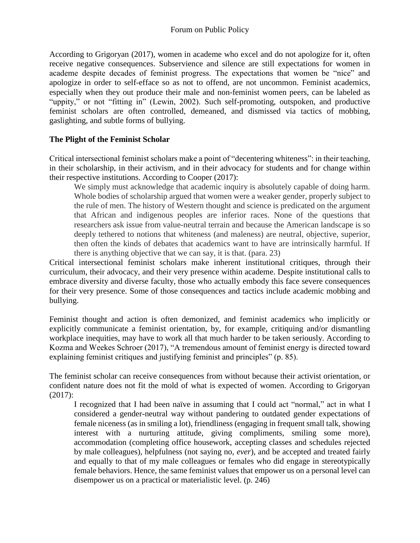According to Grigoryan (2017), women in academe who excel and do not apologize for it, often receive negative consequences. Subservience and silence are still expectations for women in academe despite decades of feminist progress. The expectations that women be "nice" and apologize in order to self-efface so as not to offend, are not uncommon. Feminist academics, especially when they out produce their male and non-feminist women peers, can be labeled as "uppity," or not "fitting in" (Lewin, 2002). Such self-promoting, outspoken, and productive feminist scholars are often controlled, demeaned, and dismissed via tactics of mobbing, gaslighting, and subtle forms of bullying.

### **The Plight of the Feminist Scholar**

Critical intersectional feminist scholars make a point of "decentering whiteness": in their teaching, in their scholarship, in their activism, and in their advocacy for students and for change within their respective institutions. According to Cooper (2017):

We simply must acknowledge that academic inquiry is absolutely capable of doing harm. Whole bodies of scholarship argued that women were a weaker gender, properly subject to the rule of men. The history of Western thought and science is predicated on the argument that African and indigenous peoples are inferior races. None of the questions that researchers ask issue from value-neutral terrain and because the American landscape is so deeply tethered to notions that whiteness (and maleness) are neutral, objective, superior, then often the kinds of debates that academics want to have are intrinsically harmful. If there is anything objective that we can say, it is that. (para. 23)

Critical intersectional feminist scholars make inherent institutional critiques, through their curriculum, their advocacy, and their very presence within academe. Despite institutional calls to embrace diversity and diverse faculty, those who actually embody this face severe consequences for their very presence. Some of those consequences and tactics include academic mobbing and bullying.

Feminist thought and action is often demonized, and feminist academics who implicitly or explicitly communicate a feminist orientation, by, for example, critiquing and/or dismantling workplace inequities, may have to work all that much harder to be taken seriously. According to Kozma and Weekes Schroer (2017), "A tremendous amount of feminist energy is directed toward explaining feminist critiques and justifying feminist and principles" (p. 85).

The feminist scholar can receive consequences from without because their activist orientation, or confident nature does not fit the mold of what is expected of women. According to Grigoryan (2017):

I recognized that I had been naïve in assuming that I could act "normal," act in what I considered a gender-neutral way without pandering to outdated gender expectations of female niceness (as in smiling a lot), friendliness (engaging in frequent small talk, showing interest with a nurturing attitude, giving compliments, smiling some more), accommodation (completing office housework, accepting classes and schedules rejected by male colleagues), helpfulness (not saying no, *ever*), and be accepted and treated fairly and equally to that of my male colleagues or females who did engage in stereotypically female behaviors. Hence, the same feminist values that empower us on a personal level can disempower us on a practical or materialistic level. (p. 246)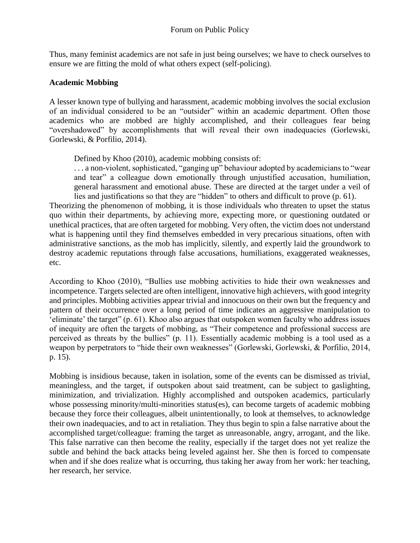Thus, many feminist academics are not safe in just being ourselves; we have to check ourselves to ensure we are fitting the mold of what others expect (self-policing).

#### **Academic Mobbing**

A lesser known type of bullying and harassment, academic mobbing involves the social exclusion of an individual considered to be an "outsider" within an academic department. Often those academics who are mobbed are highly accomplished, and their colleagues fear being "overshadowed" by accomplishments that will reveal their own inadequacies (Gorlewski, Gorlewski, & Porfilio, 2014).

Defined by Khoo (2010), academic mobbing consists of:

. . . a non-violent, sophisticated, "ganging up" behaviour adopted by academicians to "wear and tear" a colleague down emotionally through unjustified accusation, humiliation, general harassment and emotional abuse. These are directed at the target under a veil of lies and justifications so that they are "hidden" to others and difficult to prove (p. 61).

Theorizing the phenomenon of mobbing, it is those individuals who threaten to upset the status quo within their departments, by achieving more, expecting more, or questioning outdated or unethical practices, that are often targeted for mobbing. Very often, the victim does not understand what is happening until they find themselves embedded in very precarious situations, often with administrative sanctions, as the mob has implicitly, silently, and expertly laid the groundwork to destroy academic reputations through false accusations, humiliations, exaggerated weaknesses, etc.

According to Khoo (2010), "Bullies use mobbing activities to hide their own weaknesses and incompetence. Targets selected are often intelligent, innovative high achievers, with good integrity and principles. Mobbing activities appear trivial and innocuous on their own but the frequency and pattern of their occurrence over a long period of time indicates an aggressive manipulation to 'eliminate' the target" (p. 61). Khoo also argues that outspoken women faculty who address issues of inequity are often the targets of mobbing, as "Their competence and professional success are perceived as threats by the bullies" (p. 11). Essentially academic mobbing is a tool used as a weapon by perpetrators to "hide their own weaknesses" (Gorlewski, Gorlewski, & Porfilio, 2014, p. 15).

Mobbing is insidious because, taken in isolation, some of the events can be dismissed as trivial, meaningless, and the target, if outspoken about said treatment, can be subject to gaslighting, minimization, and trivialization. Highly accomplished and outspoken academics, particularly whose possessing minority/multi-minorities status(es), can become targets of academic mobbing because they force their colleagues, albeit unintentionally, to look at themselves, to acknowledge their own inadequacies, and to act in retaliation. They thus begin to spin a false narrative about the accomplished target/colleague: framing the target as unreasonable, angry, arrogant, and the like. This false narrative can then become the reality, especially if the target does not yet realize the subtle and behind the back attacks being leveled against her. She then is forced to compensate when and if she does realize what is occurring, thus taking her away from her work: her teaching, her research, her service.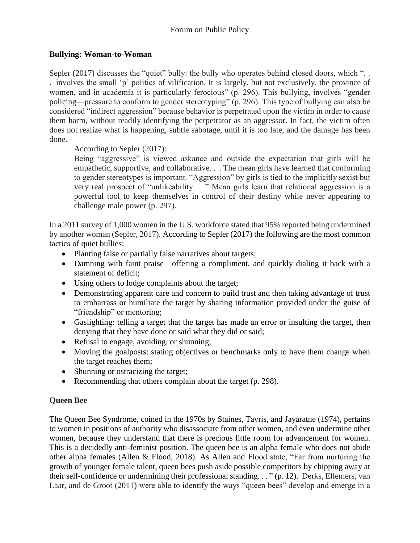### **Bullying: Woman-to-Woman**

Sepler (2017) discusses the "quiet" bully: the bully who operates behind closed doors, which "... . involves the small 'p' politics of vilification. It is largely, but not exclusively, the province of women, and in academia it is particularly ferocious" (p. 296). This bullying, involves "gender policing—pressure to conform to gender stereotyping" (p. 296). This type of bullying can also be considered "indirect aggression" because behavior is perpetrated upon the victim in order to cause them harm, without readily identifying the perpetrator as an aggressor. In fact, the victim often does not realize what is happening, subtle sabotage, until it is too late, and the damage has been done.

# According to Sepler (2017):

Being "aggressive" is viewed askance and outside the expectation that girls will be empathetic, supportive, and collaborative. . . The mean girls have learned that conforming to gender stereotypes is important. "Aggression" by girls is tied to the implicitly sexist but very real prospect of "unlikeability. . ." Mean girls learn that relational aggression is a powerful tool to keep themselves in control of their destiny while never appearing to challenge male power (p. 297).

In a 2011 survey of 1,000 women in the U.S. workforce stated that 95% reported being undermined by another woman (Sepler, 2017). According to Sepler (2017) the following are the most common tactics of quiet bullies:

- Planting false or partially false narratives about targets;
- Damning with faint praise—offering a compliment, and quickly dialing it back with a statement of deficit;
- Using others to lodge complaints about the target;
- Demonstrating apparent care and concern to build trust and then taking advantage of trust to embarrass or humiliate the target by sharing information provided under the guise of "friendship" or mentoring;
- Gaslighting: telling a target that the target has made an error or insulting the target, then denying that they have done or said what they did or said;
- Refusal to engage, avoiding, or shunning;
- Moving the goalposts: stating objectives or benchmarks only to have them change when the target reaches them;
- Shunning or ostracizing the target;
- Recommending that others complain about the target (p. 298).

### **Queen Bee**

The Queen Bee Syndrome, coined in the 1970s by Staines, Tavris, and Jayaratne (1974), pertains to women in positions of authority who disassociate from other women, and even undermine other women, because they understand that there is precious little room for advancement for women. This is a decidedly anti-feminist position. The queen bee is an alpha female who does not abide other alpha females (Allen & Flood, 2018). As Allen and Flood state, "Far from nurturing the growth of younger female talent, queen bees push aside possible competitors by chipping away at their self-confidence or undermining their professional standing. . . " (p. 12). Derks, Ellemers, van Laar, and de Groot (2011) were able to identify the ways "queen bees" develop and emerge in a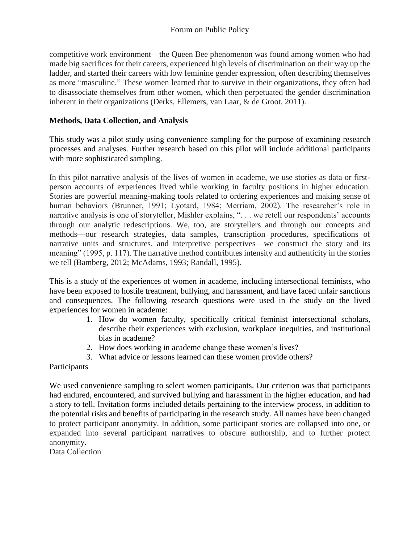competitive work environment—the Queen Bee phenomenon was found among women who had made big sacrifices for their careers, experienced high levels of discrimination on their way up the ladder, and started their careers with low feminine gender expression, often describing themselves as more "masculine." These women learned that to survive in their organizations, they often had to disassociate themselves from other women, which then perpetuated the gender discrimination inherent in their organizations (Derks, Ellemers, van Laar, & de Groot, 2011).

### **Methods, Data Collection, and Analysis**

This study was a pilot study using convenience sampling for the purpose of examining research processes and analyses. Further research based on this pilot will include additional participants with more sophisticated sampling.

In this pilot narrative analysis of the lives of women in academe, we use stories as data or firstperson accounts of experiences lived while working in faculty positions in higher education. Stories are powerful meaning-making tools related to ordering experiences and making sense of human behaviors (Brunner, 1991; Lyotard, 1984; Merriam, 2002). The researcher's role in narrative analysis is one of storyteller, Mishler explains, ". . . we retell our respondents' accounts through our analytic redescriptions. We, too, are storytellers and through our concepts and methods—our research strategies, data samples, transcription procedures, specifications of narrative units and structures, and interpretive perspectives—we construct the story and its meaning" (1995, p. 117). The narrative method contributes intensity and authenticity in the stories we tell (Bamberg, 2012; McAdams, 1993; Randall, 1995).

This is a study of the experiences of women in academe, including intersectional feminists, who have been exposed to hostile treatment, bullying, and harassment, and have faced unfair sanctions and consequences. The following research questions were used in the study on the lived experiences for women in academe:

- 1. How do women faculty, specifically critical feminist intersectional scholars, describe their experiences with exclusion, workplace inequities, and institutional bias in academe?
- 2. How does working in academe change these women's lives?
- 3. What advice or lessons learned can these women provide others?

### Participants

We used convenience sampling to select women participants. Our criterion was that participants had endured, encountered, and survived bullying and harassment in the higher education, and had a story to tell. Invitation forms included details pertaining to the interview process, in addition to the potential risks and benefits of participating in the research study. All names have been changed to protect participant anonymity. In addition, some participant stories are collapsed into one, or expanded into several participant narratives to obscure authorship, and to further protect anonymity.

Data Collection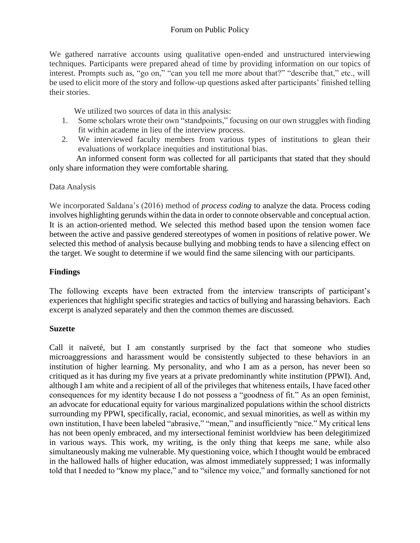We gathered narrative accounts using qualitative open-ended and unstructured interviewing techniques. Participants were prepared ahead of time by providing information on our topics of interest. Prompts such as, "go on," "can you tell me more about that?" "describe that," etc., will be used to elicit more of the story and follow-up questions asked after participants' finished telling their stories.

We utilized two sources of data in this analysis:

- 1. Some scholars wrote their own "standpoints," focusing on our own struggles with finding fit within academe in lieu of the interview process.
- 2. We interviewed faculty members from various types of institutions to glean their evaluations of workplace inequities and institutional bias.

An informed consent form was collected for all participants that stated that they should only share information they were comfortable sharing.

### Data Analysis

We incorporated Saldana's (2016) method of *process coding* to analyze the data. Process coding involves highlighting gerunds within the data in order to connote observable and conceptual action. It is an action-oriented method. We selected this method based upon the tension women face between the active and passive gendered stereotypes of women in positions of relative power. We selected this method of analysis because bullying and mobbing tends to have a silencing effect on the target. We sought to determine if we would find the same silencing with our participants.

# **Findings**

The following excepts have been extracted from the interview transcripts of participant's experiences that highlight specific strategies and tactics of bullying and harassing behaviors. Each excerpt is analyzed separately and then the common themes are discussed.

### **Suzette**

Call it naïveté, but I am constantly surprised by the fact that someone who studies microaggressions and harassment would be consistently subjected to these behaviors in an institution of higher learning. My personality, and who I am as a person, has never been so critiqued as it has during my five years at a private predominantly white institution (PPWI). And, although I am white and a recipient of all of the privileges that whiteness entails, I have faced other consequences for my identity because I do not possess a "goodness of fit." As an open feminist, an advocate for educational equity for various marginalized populations within the school districts surrounding my PPWI, specifically, racial, economic, and sexual minorities, as well as within my own institution, I have been labeled "abrasive," "mean," and insufficiently "nice." My critical lens has not been openly embraced, and my intersectional feminist worldview has been delegitimized in various ways. This work, my writing, is the only thing that keeps me sane, while also simultaneously making me vulnerable. My questioning voice, which I thought would be embraced in the hallowed halls of higher education, was almost immediately suppressed; I was informally told that I needed to "know my place," and to "silence my voice," and formally sanctioned for not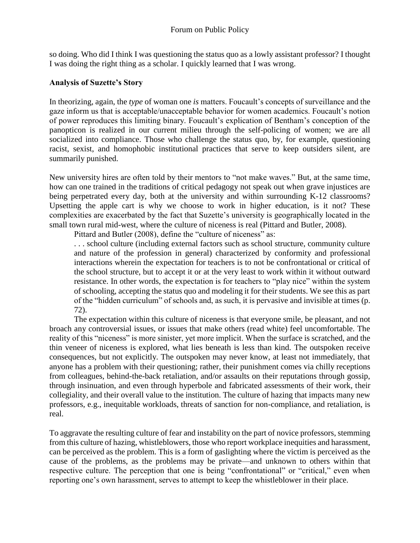so doing. Who did I think I was questioning the status quo as a lowly assistant professor? I thought I was doing the right thing as a scholar. I quickly learned that I was wrong.

#### **Analysis of Suzette's Story**

In theorizing, again, the *type* of woman one *is* matters. Foucault's concepts of surveillance and the gaze inform us that is acceptable/unacceptable behavior for women academics. Foucault's notion of power reproduces this limiting binary. Foucault's explication of Bentham's conception of the panopticon is realized in our current milieu through the self-policing of women; we are all socialized into compliance. Those who challenge the status quo, by, for example, questioning racist, sexist, and homophobic institutional practices that serve to keep outsiders silent, are summarily punished.

New university hires are often told by their mentors to "not make waves." But, at the same time, how can one trained in the traditions of critical pedagogy not speak out when grave injustices are being perpetrated every day, both at the university and within surrounding K-12 classrooms? Upsetting the apple cart is why we choose to work in higher education, is it not? These complexities are exacerbated by the fact that Suzette's university is geographically located in the small town rural mid-west, where the culture of niceness is real (Pittard and Butler, 2008).

Pittard and Butler (2008), define the "culture of niceness" as:

. . . school culture (including external factors such as school structure, community culture and nature of the profession in general) characterized by conformity and professional interactions wherein the expectation for teachers is to not be confrontational or critical of the school structure, but to accept it or at the very least to work within it without outward resistance. In other words, the expectation is for teachers to "play nice" within the system of schooling, accepting the status quo and modeling it for their students. We see this as part of the "hidden curriculum" of schools and, as such, it is pervasive and invisible at times (p. 72).

The expectation within this culture of niceness is that everyone smile, be pleasant, and not broach any controversial issues, or issues that make others (read white) feel uncomfortable. The reality of this "niceness" is more sinister, yet more implicit. When the surface is scratched, and the thin veneer of niceness is explored, what lies beneath is less than kind. The outspoken receive consequences, but not explicitly. The outspoken may never know, at least not immediately, that anyone has a problem with their questioning; rather, their punishment comes via chilly receptions from colleagues, behind-the-back retaliation, and/or assaults on their reputations through gossip, through insinuation, and even through hyperbole and fabricated assessments of their work, their collegiality, and their overall value to the institution. The culture of hazing that impacts many new professors, e.g., inequitable workloads, threats of sanction for non-compliance, and retaliation, is real.

To aggravate the resulting culture of fear and instability on the part of novice professors, stemming from this culture of hazing, whistleblowers, those who report workplace inequities and harassment, can be perceived as the problem. This is a form of gaslighting where the victim is perceived as the cause of the problems, as the problems may be private—and unknown to others within that respective culture. The perception that one is being "confrontational" or "critical," even when reporting one's own harassment, serves to attempt to keep the whistleblower in their place.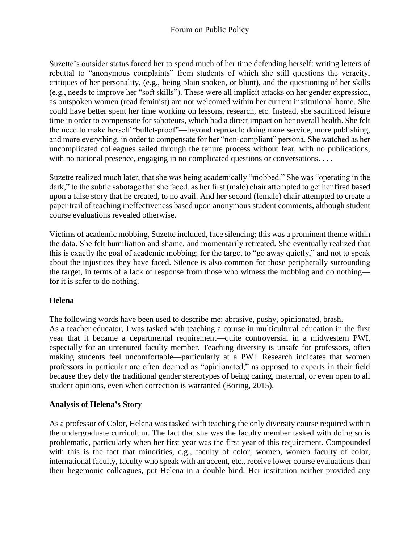Suzette's outsider status forced her to spend much of her time defending herself: writing letters of rebuttal to "anonymous complaints" from students of which she still questions the veracity, critiques of her personality, (e.g., being plain spoken, or blunt), and the questioning of her skills (e.g., needs to improve her "soft skills"). These were all implicit attacks on her gender expression, as outspoken women (read feminist) are not welcomed within her current institutional home. She could have better spent her time working on lessons, research, etc. Instead, she sacrificed leisure time in order to compensate for saboteurs, which had a direct impact on her overall health. She felt the need to make herself "bullet-proof"—beyond reproach: doing more service, more publishing, and more everything, in order to compensate for her "non-compliant" persona. She watched as her uncomplicated colleagues sailed through the tenure process without fear, with no publications, with no national presence, engaging in no complicated questions or conversations. . . .

Suzette realized much later, that she was being academically "mobbed." She was "operating in the dark," to the subtle sabotage that she faced, as her first (male) chair attempted to get her fired based upon a false story that he created, to no avail. And her second (female) chair attempted to create a paper trail of teaching ineffectiveness based upon anonymous student comments, although student course evaluations revealed otherwise.

Victims of academic mobbing, Suzette included, face silencing; this was a prominent theme within the data. She felt humiliation and shame, and momentarily retreated. She eventually realized that this is exactly the goal of academic mobbing: for the target to "go away quietly," and not to speak about the injustices they have faced. Silence is also common for those peripherally surrounding the target, in terms of a lack of response from those who witness the mobbing and do nothing for it is safer to do nothing.

### **Helena**

The following words have been used to describe me: abrasive, pushy, opinionated, brash. As a teacher educator, I was tasked with teaching a course in multicultural education in the first year that it became a departmental requirement—quite controversial in a midwestern PWI, especially for an untenured faculty member. Teaching diversity is unsafe for professors, often making students feel uncomfortable—particularly at a PWI. Research indicates that women professors in particular are often deemed as "opinionated," as opposed to experts in their field because they defy the traditional gender stereotypes of being caring, maternal, or even open to all student opinions, even when correction is warranted (Boring, 2015).

### **Analysis of Helena's Story**

As a professor of Color, Helena was tasked with teaching the only diversity course required within the undergraduate curriculum. The fact that she was the faculty member tasked with doing so is problematic, particularly when her first year was the first year of this requirement. Compounded with this is the fact that minorities, e.g., faculty of color, women, women faculty of color, international faculty, faculty who speak with an accent, etc., receive lower course evaluations than their hegemonic colleagues, put Helena in a double bind. Her institution neither provided any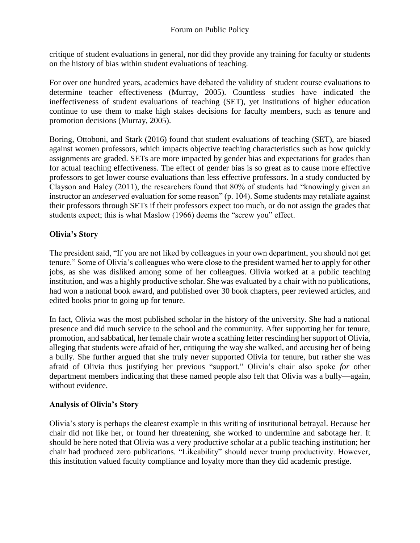critique of student evaluations in general, nor did they provide any training for faculty or students on the history of bias within student evaluations of teaching.

For over one hundred years, academics have debated the validity of student course evaluations to determine teacher effectiveness (Murray, 2005). Countless studies have indicated the ineffectiveness of student evaluations of teaching (SET), yet institutions of higher education continue to use them to make high stakes decisions for faculty members, such as tenure and promotion decisions (Murray, 2005).

Boring, Ottoboni, and Stark (2016) found that student evaluations of teaching (SET), are biased against women professors, which impacts objective teaching characteristics such as how quickly assignments are graded. SETs are more impacted by gender bias and expectations for grades than for actual teaching effectiveness. The effect of gender bias is so great as to cause more effective professors to get lower course evaluations than less effective professors. In a study conducted by Clayson and Haley (2011), the researchers found that 80% of students had "knowingly given an instructor an *undeserved* evaluation for some reason" (p. 104). Some students may retaliate against their professors through SETs if their professors expect too much, or do not assign the grades that students expect; this is what Maslow (1966) deems the "screw you" effect.

# **Olivia's Story**

The president said, "If you are not liked by colleagues in your own department, you should not get tenure." Some of Olivia's colleagues who were close to the president warned her to apply for other jobs, as she was disliked among some of her colleagues. Olivia worked at a public teaching institution, and was a highly productive scholar. She was evaluated by a chair with no publications, had won a national book award, and published over 30 book chapters, peer reviewed articles, and edited books prior to going up for tenure.

In fact, Olivia was the most published scholar in the history of the university. She had a national presence and did much service to the school and the community. After supporting her for tenure, promotion, and sabbatical, her female chair wrote a scathing letter rescinding her support of Olivia, alleging that students were afraid of her, critiquing the way she walked, and accusing her of being a bully. She further argued that she truly never supported Olivia for tenure, but rather she was afraid of Olivia thus justifying her previous "support." Olivia's chair also spoke *for* other department members indicating that these named people also felt that Olivia was a bully—again, without evidence.

# **Analysis of Olivia's Story**

Olivia's story is perhaps the clearest example in this writing of institutional betrayal. Because her chair did not like her, or found her threatening, she worked to undermine and sabotage her. It should be here noted that Olivia was a very productive scholar at a public teaching institution; her chair had produced zero publications. "Likeability" should never trump productivity. However, this institution valued faculty compliance and loyalty more than they did academic prestige.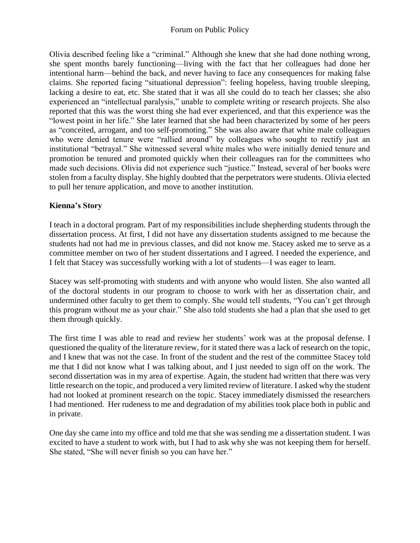### Forum on Public Policy

Olivia described feeling like a "criminal." Although she knew that she had done nothing wrong, she spent months barely functioning—living with the fact that her colleagues had done her intentional harm—behind the back, and never having to face any consequences for making false claims. She reported facing "situational depression": feeling hopeless, having trouble sleeping, lacking a desire to eat, etc. She stated that it was all she could do to teach her classes; she also experienced an "intellectual paralysis," unable to complete writing or research projects. She also reported that this was the worst thing she had ever experienced, and that this experience was the "lowest point in her life." She later learned that she had been characterized by some of her peers as "conceited, arrogant, and too self-promoting." She was also aware that white male colleagues who were denied tenure were "rallied around" by colleagues who sought to rectify just an institutional "betrayal." She witnessed several white males who were initially denied tenure and promotion be tenured and promoted quickly when their colleagues ran for the committees who made such decisions. Olivia did not experience such "justice." Instead, several of her books were stolen from a faculty display. She highly doubted that the perpetrators were students. Olivia elected to pull her tenure application, and move to another institution.

### **Kienna's Story**

I teach in a doctoral program. Part of my responsibilities include shepherding students through the dissertation process. At first, I did not have any dissertation students assigned to me because the students had not had me in previous classes, and did not know me. Stacey asked me to serve as a committee member on two of her student dissertations and I agreed. I needed the experience, and I felt that Stacey was successfully working with a lot of students—I was eager to learn.

Stacey was self-promoting with students and with anyone who would listen. She also wanted all of the doctoral students in our program to choose to work with her as dissertation chair, and undermined other faculty to get them to comply. She would tell students, "You can't get through this program without me as your chair." She also told students she had a plan that she used to get them through quickly.

The first time I was able to read and review her students' work was at the proposal defense. I questioned the quality of the literature review, for it stated there was a lack of research on the topic, and I knew that was not the case. In front of the student and the rest of the committee Stacey told me that I did not know what I was talking about, and I just needed to sign off on the work. The second dissertation was in my area of expertise. Again, the student had written that there was very little research on the topic, and produced a very limited review of literature. I asked why the student had not looked at prominent research on the topic. Stacey immediately dismissed the researchers I had mentioned. Her rudeness to me and degradation of my abilities took place both in public and in private.

One day she came into my office and told me that she was sending me a dissertation student. I was excited to have a student to work with, but I had to ask why she was not keeping them for herself. She stated, "She will never finish so you can have her."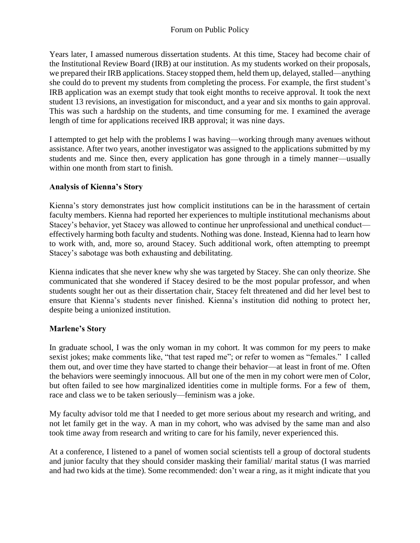Years later, I amassed numerous dissertation students. At this time, Stacey had become chair of the Institutional Review Board (IRB) at our institution. As my students worked on their proposals, we prepared their IRB applications. Stacey stopped them, held them up, delayed, stalled—anything she could do to prevent my students from completing the process. For example, the first student's IRB application was an exempt study that took eight months to receive approval. It took the next student 13 revisions, an investigation for misconduct, and a year and six months to gain approval. This was such a hardship on the students, and time consuming for me. I examined the average length of time for applications received IRB approval; it was nine days.

I attempted to get help with the problems I was having—working through many avenues without assistance. After two years, another investigator was assigned to the applications submitted by my students and me. Since then, every application has gone through in a timely manner—usually within one month from start to finish.

# **Analysis of Kienna's Story**

Kienna's story demonstrates just how complicit institutions can be in the harassment of certain faculty members. Kienna had reported her experiences to multiple institutional mechanisms about Stacey's behavior, yet Stacey was allowed to continue her unprofessional and unethical conduct effectively harming both faculty and students. Nothing was done. Instead, Kienna had to learn how to work with, and, more so, around Stacey. Such additional work, often attempting to preempt Stacey's sabotage was both exhausting and debilitating.

Kienna indicates that she never knew why she was targeted by Stacey. She can only theorize. She communicated that she wondered if Stacey desired to be the most popular professor, and when students sought her out as their dissertation chair, Stacey felt threatened and did her level best to ensure that Kienna's students never finished. Kienna's institution did nothing to protect her, despite being a unionized institution.

### **Marlene's Story**

In graduate school, I was the only woman in my cohort. It was common for my peers to make sexist jokes; make comments like, "that test raped me"; or refer to women as "females." I called them out, and over time they have started to change their behavior—at least in front of me. Often the behaviors were seemingly innocuous. All but one of the men in my cohort were men of Color, but often failed to see how marginalized identities come in multiple forms. For a few of them, race and class we to be taken seriously—feminism was a joke.

My faculty advisor told me that I needed to get more serious about my research and writing, and not let family get in the way. A man in my cohort, who was advised by the same man and also took time away from research and writing to care for his family, never experienced this.

At a conference, I listened to a panel of women social scientists tell a group of doctoral students and junior faculty that they should consider masking their familial/ marital status (I was married and had two kids at the time). Some recommended: don't wear a ring, as it might indicate that you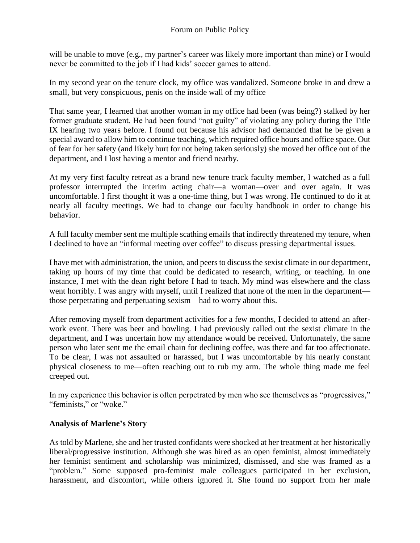will be unable to move (e.g., my partner's career was likely more important than mine) or I would never be committed to the job if I had kids' soccer games to attend.

In my second year on the tenure clock, my office was vandalized. Someone broke in and drew a small, but very conspicuous, penis on the inside wall of my office

That same year, I learned that another woman in my office had been (was being?) stalked by her former graduate student. He had been found "not guilty" of violating any policy during the Title IX hearing two years before. I found out because his advisor had demanded that he be given a special award to allow him to continue teaching, which required office hours and office space. Out of fear for her safety (and likely hurt for not being taken seriously) she moved her office out of the department, and I lost having a mentor and friend nearby.

At my very first faculty retreat as a brand new tenure track faculty member, I watched as a full professor interrupted the interim acting chair—a woman—over and over again. It was uncomfortable. I first thought it was a one-time thing, but I was wrong. He continued to do it at nearly all faculty meetings. We had to change our faculty handbook in order to change his behavior.

A full faculty member sent me multiple scathing emails that indirectly threatened my tenure, when I declined to have an "informal meeting over coffee" to discuss pressing departmental issues.

I have met with administration, the union, and peers to discuss the sexist climate in our department, taking up hours of my time that could be dedicated to research, writing, or teaching. In one instance, I met with the dean right before I had to teach. My mind was elsewhere and the class went horribly. I was angry with myself, until I realized that none of the men in the department those perpetrating and perpetuating sexism—had to worry about this.

After removing myself from department activities for a few months, I decided to attend an afterwork event. There was beer and bowling. I had previously called out the sexist climate in the department, and I was uncertain how my attendance would be received. Unfortunately, the same person who later sent me the email chain for declining coffee, was there and far too affectionate. To be clear, I was not assaulted or harassed, but I was uncomfortable by his nearly constant physical closeness to me—often reaching out to rub my arm. The whole thing made me feel creeped out.

In my experience this behavior is often perpetrated by men who see themselves as "progressives," "feminists," or "woke."

### **Analysis of Marlene's Story**

As told by Marlene, she and her trusted confidants were shocked at her treatment at her historically liberal/progressive institution. Although she was hired as an open feminist, almost immediately her feminist sentiment and scholarship was minimized, dismissed, and she was framed as a "problem." Some supposed pro-feminist male colleagues participated in her exclusion, harassment, and discomfort, while others ignored it. She found no support from her male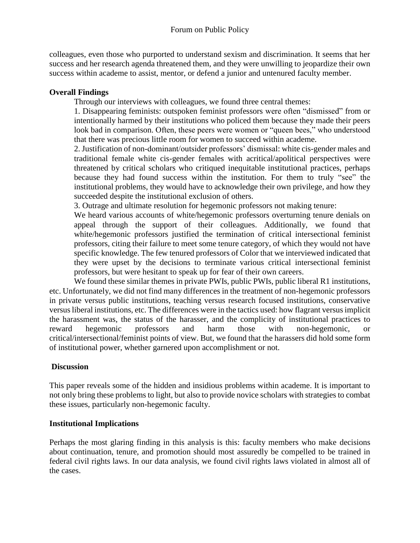colleagues, even those who purported to understand sexism and discrimination. It seems that her success and her research agenda threatened them, and they were unwilling to jeopardize their own success within academe to assist, mentor, or defend a junior and untenured faculty member.

### **Overall Findings**

Through our interviews with colleagues, we found three central themes:

1. Disappearing feminists: outspoken feminist professors were often "dismissed" from or intentionally harmed by their institutions who policed them because they made their peers look bad in comparison. Often, these peers were women or "queen bees," who understood that there was precious little room for women to succeed within academe.

2. Justification of non-dominant/outsider professors' dismissal: white cis-gender males and traditional female white cis-gender females with acritical/apolitical perspectives were threatened by critical scholars who critiqued inequitable institutional practices, perhaps because they had found success within the institution. For them to truly "see" the institutional problems, they would have to acknowledge their own privilege, and how they succeeded despite the institutional exclusion of others.

3. Outrage and ultimate resolution for hegemonic professors not making tenure:

We heard various accounts of white/hegemonic professors overturning tenure denials on appeal through the support of their colleagues. Additionally, we found that white/hegemonic professors justified the termination of critical intersectional feminist professors, citing their failure to meet some tenure category, of which they would not have specific knowledge. The few tenured professors of Color that we interviewed indicated that they were upset by the decisions to terminate various critical intersectional feminist professors, but were hesitant to speak up for fear of their own careers.

We found these similar themes in private PWIs, public PWIs, public liberal R1 institutions, etc. Unfortunately, we did not find many differences in the treatment of non-hegemonic professors in private versus public institutions, teaching versus research focused institutions, conservative versus liberal institutions, etc. The differences were in the tactics used: how flagrant versus implicit the harassment was, the status of the harasser, and the complicity of institutional practices to reward hegemonic professors and harm those with non-hegemonic, or critical/intersectional/feminist points of view. But, we found that the harassers did hold some form of institutional power, whether garnered upon accomplishment or not.

# **Discussion**

This paper reveals some of the hidden and insidious problems within academe. It is important to not only bring these problems to light, but also to provide novice scholars with strategies to combat these issues, particularly non-hegemonic faculty.

### **Institutional Implications**

Perhaps the most glaring finding in this analysis is this: faculty members who make decisions about continuation, tenure, and promotion should most assuredly be compelled to be trained in federal civil rights laws. In our data analysis, we found civil rights laws violated in almost all of the cases.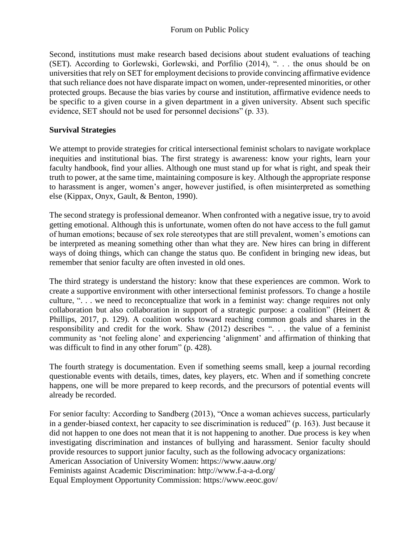Second, institutions must make research based decisions about student evaluations of teaching (SET). According to Gorlewski, Gorlewski, and Porfilio (2014), ". . . the onus should be on universities that rely on SET for employment decisions to provide convincing affirmative evidence that such reliance does not have disparate impact on women, under-represented minorities, or other protected groups. Because the bias varies by course and institution, affirmative evidence needs to be specific to a given course in a given department in a given university. Absent such specific evidence, SET should not be used for personnel decisions" (p. 33).

### **Survival Strategies**

We attempt to provide strategies for critical intersectional feminist scholars to navigate workplace inequities and institutional bias. The first strategy is awareness: know your rights, learn your faculty handbook, find your allies. Although one must stand up for what is right, and speak their truth to power, at the same time, maintaining composure is key. Although the appropriate response to harassment is anger, women's anger, however justified, is often misinterpreted as something else (Kippax, Onyx, Gault, & Benton, 1990).

The second strategy is professional demeanor. When confronted with a negative issue, try to avoid getting emotional. Although this is unfortunate, women often do not have access to the full gamut of human emotions; because of sex role stereotypes that are still prevalent, women's emotions can be interpreted as meaning something other than what they are. New hires can bring in different ways of doing things, which can change the status quo. Be confident in bringing new ideas, but remember that senior faculty are often invested in old ones.

The third strategy is understand the history: know that these experiences are common. Work to create a supportive environment with other intersectional feminist professors. To change a hostile culture, ". . . we need to reconceptualize that work in a feminist way: change requires not only collaboration but also collaboration in support of a strategic purpose: a coalition" (Heinert & Phillips, 2017, p. 129). A coalition works toward reaching common goals and shares in the responsibility and credit for the work. Shaw (2012) describes ". . . the value of a feminist community as 'not feeling alone' and experiencing 'alignment' and affirmation of thinking that was difficult to find in any other forum" (p. 428).

The fourth strategy is documentation. Even if something seems small, keep a journal recording questionable events with details, times, dates, key players, etc. When and if something concrete happens, one will be more prepared to keep records, and the precursors of potential events will already be recorded.

For senior faculty: According to Sandberg (2013), "Once a woman achieves success, particularly in a gender-biased context, her capacity to see discrimination is reduced" (p. 163). Just because it did not happen to one does not mean that it is not happening to another. Due process is key when investigating discrimination and instances of bullying and harassment. Senior faculty should provide resources to support junior faculty, such as the following advocacy organizations: American Association of University Women: https://www.aauw.org/ Feminists against Academic Discrimination: http://www.f-a-a-d.org/

Equal Employment Opportunity Commission: https://www.eeoc.gov/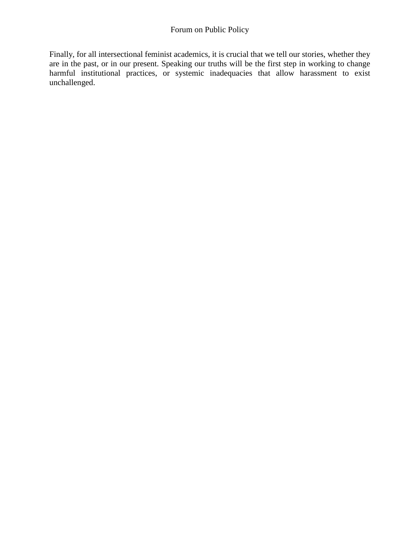Finally, for all intersectional feminist academics, it is crucial that we tell our stories, whether they are in the past, or in our present. Speaking our truths will be the first step in working to change harmful institutional practices, or systemic inadequacies that allow harassment to exist unchallenged.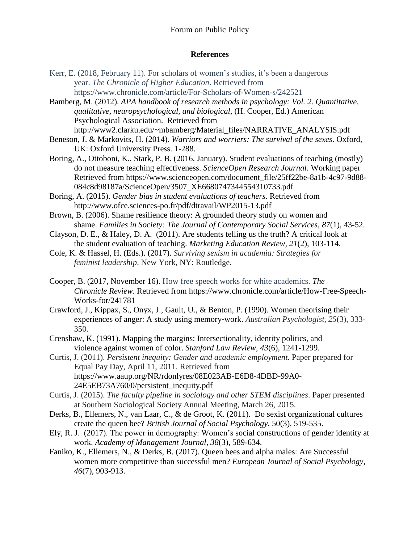#### Forum on Public Policy

#### **References**

Kerr, E. (2018, February 11). For scholars of women's studies, it's been a dangerous year. *The Chronicle of Higher Education*. Retrieved from https://www.chronicle.com/article/For-Scholars-of-Women-s/242521

Bamberg, M. (2012). *APA handbook of research methods in psychology: Vol. 2. Quantitative, qualitative, neuropsychological, and biological*, (H. Cooper, Ed.) American Psychological Association. Retrieved from http://www2.clarku.edu/~mbamberg/Material\_files/NARRATIVE\_ANALYSIS.pdf

Beneson, J. & Markovits, H. (2014). *Warriors and worriers: The survival of the sexes*. Oxford, UK: Oxford University Press. 1-288.

Boring, A., Ottoboni, K., Stark, P. B. (2016, January). Student evaluations of teaching (mostly) do not measure teaching effectiveness. *ScienceOpen Research Journal*. Working paper Retrieved from https://www.scienceopen.com/document\_file/25ff22be-8a1b-4c97-9d88- 084c8d98187a/ScienceOpen/3507\_XE6680747344554310733.pdf

Boring, A. (2015). *Gender bias in student evaluations of teachers*. Retrieved from http://www.ofce.sciences-po.fr/pdf/dtravail/WP2015-13.pdf

Brown, B. (2006). Shame resilience theory: A grounded theory study on women and shame. *Families in Society: The Journal of Contemporary Social Services, 87*(1), 43-52.

Clayson, D. E., & Haley, D. A. (2011). Are students telling us the truth? A critical look at the student evaluation of teaching. *Marketing Education Review, 21*(2), 103-114.

Cole, K. & Hassel, H. (Eds.). (2017). *Surviving sexism in academia: Strategies for feminist leadership*. New York, NY: Routledge.

Cooper, B. (2017, November 16). How free speech works for white academics. *The Chronicle Review*. Retrieved from https://www.chronicle.com/article/How-Free-Speech-Works-for/241781

Crawford, J., Kippax, S., Onyx, J., Gault, U., & Benton, P. (1990). Women theorising their experiences of anger: A study using memory‐work. *Australian Psychologist, 25*(3), 333- 350.

Crenshaw, K. (1991). Mapping the margins: Intersectionality, identity politics, and violence against women of color. *Stanford Law Review, 43*(6), 1241-1299.

Curtis, J. (2011). *Persistent inequity: Gender and academic employment*. Paper prepared for Equal Pay Day, April 11, 2011. Retrieved from https://www.aaup.org/NR/rdonlyres/08E023AB-E6D8-4DBD-99A0- 24E5EB73A760/0/persistent\_inequity.pdf

Curtis, J. (2015). *The faculty pipeline in sociology and other STEM disciplines*. Paper presented at Southern Sociological Society Annual Meeting, March 26, 2015.

Derks, B., Ellemers, N., van Laar, C., & de Groot, K. (2011). Do sexist organizational cultures create the queen bee? *British Journal of Social Psychology*, 50(3), 519-535.

Ely, R. J. (2017). The power in demography: Women's social constructions of gender identity at work. *Academy of Management Journal, 38*(3), 589-634.

Faniko, K., Ellemers, N., & Derks, B. (2017). Queen bees and alpha males: Are Successful women more competitive than successful men? *European Journal of Social Psychology, 46*(7), 903-913.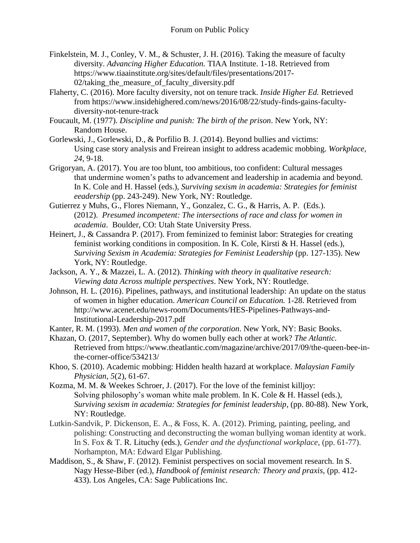- Finkelstein, M. J., Conley, V. M., & Schuster, J. H. (2016). Taking the measure of faculty diversity. *Advancing Higher Education.* TIAA Institute. 1-18. Retrieved from https://www.tiaainstitute.org/sites/default/files/presentations/2017-  $02$ /taking the measure of faculty diversity.pdf
- Flaherty, C. (2016). More faculty diversity, not on tenure track. *Inside Higher Ed.* Retrieved from [https://www.insidehighered.com/news/2016/08/22/study-finds-gains-faculty](https://www.insidehighered.com/news/2016/08/22/study-finds-gains-faculty-diversity-not-tenure-track)[diversity-not-tenure-track](https://www.insidehighered.com/news/2016/08/22/study-finds-gains-faculty-diversity-not-tenure-track)
- Foucault, M. (1977). *Discipline and punish: The birth of the prison*. New York, NY: Random House.
- Gorlewski, J., Gorlewski, D., & Porfilio B. J. (2014). Beyond bullies and victims: Using case story analysis and Freirean insight to address academic mobbing. *Workplace, 24*, 9-18.
- Grigoryan, A. (2017). You are too blunt, too ambitious, too confident: Cultural messages that undermine women's paths to advancement and leadership in academia and beyond. In K. Cole and H. Hassel (eds.), *Surviving sexism in academia: Strategies for feminist eeadership* (pp. 243-249). New York, NY: Routledge.
- Gutierrez y Muhs, G., Flores Niemann, Y., Gonzalez, C. G., & Harris, A. P. (Eds.). (2012). *Presumed incompetent: The intersections of race and class for women in academia*. Boulder, CO: Utah State University Press.
- Heinert, J., & Cassandra P. (2017). From feminized to feminist labor: Strategies for creating feminist working conditions in composition. In K. Cole, Kirsti & H. Hassel (eds.), *Surviving Sexism in Academia: Strategies for Feminist Leadership* (pp. 127-135). New York, NY: Routledge.
- Jackson, A. Y., & Mazzei, L. A. (2012). *Thinking with theory in qualitative research: Viewing data Across multiple perspectives*. New York, NY: Routledge.
- Johnson, H. L. (2016). Pipelines, pathways, and institutional leadership: An update on the status of women in higher education. *American Council on Education.* 1-28. Retrieved from [http://www.acenet.edu/news-room/Documents/HES-Pipelines-Pathways-and-](http://www.acenet.edu/news-room/Documents/HES-Pipelines-Pathways-and-Institutional-Leadership-2017.pdf)[Institutional-Leadership-2017.pdf](http://www.acenet.edu/news-room/Documents/HES-Pipelines-Pathways-and-Institutional-Leadership-2017.pdf)

Kanter, R. M. (1993). *Men and women of the corporation*. New York, NY: Basic Books.

- Khazan, O. (2017, September). Why do women bully each other at work? *The Atlantic.*  Retrieved from [https://www.theatlantic.com/magazine/archive/2017/09/the-queen-bee-in](https://www.theatlantic.com/magazine/archive/2017/09/the-queen-bee-in-the-corner-office/534213/)[the-corner-office/534213/](https://www.theatlantic.com/magazine/archive/2017/09/the-queen-bee-in-the-corner-office/534213/)
- Khoo, S. (2010). Academic mobbing: Hidden health hazard at workplace. *Malaysian Family Physician, 5*(2), 61-67.
- Kozma, M. M. & Weekes Schroer, J. (2017). For the love of the feminist killjoy: Solving philosophy's woman white male problem. In K. Cole & H. Hassel (eds.), *Surviving sexism in academia: Strategies for feminist leadership,* (pp. 80-88). New York, NY: Routledge.
- Lutkin-Sandvik, P. Dickenson, E. A., & Foss, K. A. (2012). Priming, painting, peeling, and polishing: Constructing and deconstructing the woman bullying woman identity at work. In S. Fox & T. R. Lituchy (eds.), *Gender and the dysfunctional workplace*, (pp. 61-77). Norhampton, MA: Edward Elgar Publishing.
- Maddison, S., & Shaw, F. (2012). Feminist perspectives on social movement research. In S. Nagy Hesse-Biber (ed.), *Handbook of feminist research: Theory and praxis,* (pp. 412- 433). Los Angeles, CA: Sage Publications Inc.